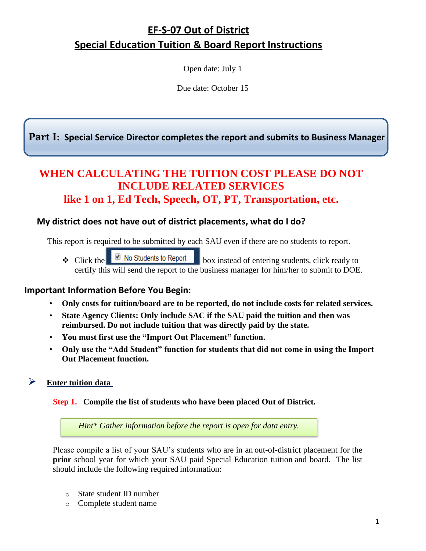# **EF-S-07 Out of District Special Education Tuition & Board Report Instructions**

Open date: July 1

Due date: October 15

**Part I: Special Service Director completes the report and submits to Business Manager**

# **WHEN CALCULATING THE TUITION COST PLEASE DO NOT INCLUDE RELATED SERVICES like 1 on 1, Ed Tech, Speech, OT, PT, Transportation, etc.**

## **My district does not have out of district placements, what do I do?**

This report is required to be submitted by each SAU even if there are no students to report.

 $\triangle$  Click the **b** No Students to Report box instead of entering students, click ready to certify this will send the report to the business manager for him/her to submit to DOE.

## **Important Information Before You Begin:**

- **Only costs for tuition/board are to be reported, do not include costs for related services.**
- **State Agency Clients: Only include SAC if the SAU paid the tuition and then was reimbursed. Do not include tuition that was directly paid by the state.**
- **You must first use the "Import Out Placement" function.**
- **Only use the "Add Student" function for students that did not come in using the Import Out Placement function.**
- ➢ **Enter tuition data**

#### **Step 1. Compile the list of students who have been placed Out of District.**

*Hint\* Gather information before the report is open for data entry.*

Please compile a list of your SAU's students who are in an out-of-district placement for the **prior** school year for which your SAU paid Special Education tuition and board. The list should include the following required information:

- o State student ID number
- o Complete student name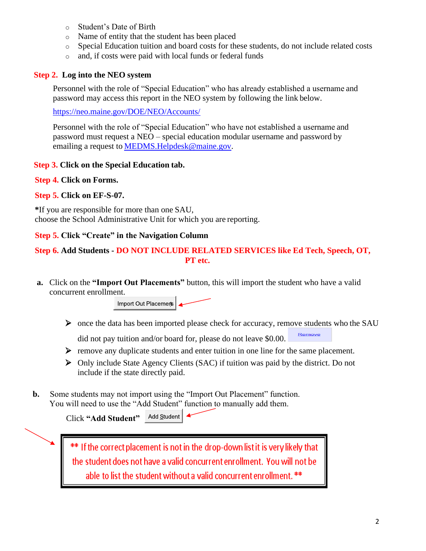- o Student's Date of Birth
- o Name of entity that the student has been placed
- o Special Education tuition and board costs for these students, do not include related costs
- o and, if costs were paid with local funds or federal funds

#### **Step 2. Log into the NEO system**

Personnel with the role of "Special Education" who has already established a username and password may access this report in the NEO system by following the link below.

<https://neo.maine.gov/DOE/NEO/Accounts/>

Personnel with the role of "Special Education" who have not established a username and password must request a NEO – special education modular username and password by emailing a request to [MEDMS.Helpdesk@maine.gov.](mailto:MEDMS.Helpdesk@maine.gov)

#### **Step 3. Click on the Special Education tab.**

#### **Step 4. Click on Forms.**

#### **Step 5. Click on EF-S-07.**

**\***If you are responsible for more than one SAU, choose the School Administrative Unit for which you are reporting.

#### **Step 5. Click "Create" in the Navigation Column**

#### **Step 6. Add Students - DO NOT INCLUDE RELATED SERVICES like Ed Tech, Speech, OT, PT etc.**

**a.** Click on the **"Import Out Placements"** button, this will import the student who have a valid concurrent enrollment.



➢ once the data has been imported please check for accuracy, remove students who the SAU

Remove did not pay tuition and/or board for, please do not leave \$0.00.

- ➢ remove any duplicate students and enter tuition in one line for the same placement.
- ➢ Only include State Agency Clients (SAC) if tuition was paid by the district. Do not include if the state directly paid.
- **b.** Some students may not import using the "Import Out Placement" function. You will need to use the "Add Student" function to manually add them.

| Click "Add Student" | Add Student |  |
|---------------------|-------------|--|
|---------------------|-------------|--|

\*\* If the correct placement is not in the drop-down list it is very likely that the student does not have a valid concurrent enrollment. You will not be able to list the student without a valid concurrent enrollment. \*\*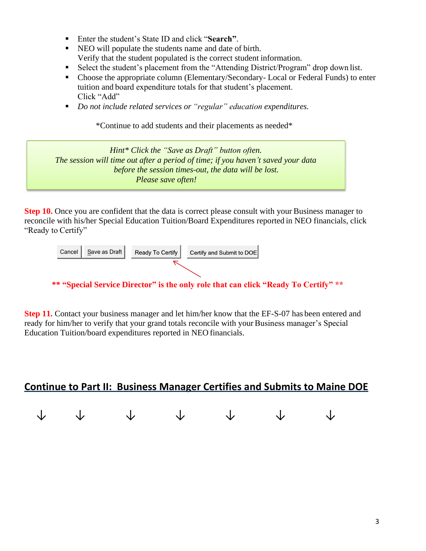- Enter the student's State ID and click "**Search**".
- NEO will populate the students name and date of birth. Verify that the student populated is the correct student information.
- Select the student's placement from the "Attending District/Program" drop down list.
- Choose the appropriate column (Elementary/Secondary- Local or Federal Funds) to enter tuition and board expenditure totals for that student's placement. Click "Add"
- *Do not include related services or "regular" education expenditures.*

\*Continue to add students and their placements as needed\*

*Hint\* Click the "Save as Draft" button often. The session will time out after a period of time; if you haven't saved your data before the session times-out, the data will be lost. Please save often!*

**Step 10.** Once you are confident that the data is correct please consult with your Business manager to reconcile with his/her Special Education Tuition/Board Expenditures reported in NEO financials, click "Ready to Certify"



**\*\* "Special Service Director" is the only role that can click "Ready To Certify" \*\***

**Step 11.** Contact your business manager and let him/her know that the EF-S-07 has been entered and ready for him/her to verify that your grand totals reconcile with your Business manager's Special Education Tuition/board expenditures reported in NEO financials.

# **Continue to Part II: Business Manager Certifies and Submits to Maine DOE**

|  | $\begin{array}{ccccccccccccccccc} \downarrow & & \downarrow & & \downarrow & & \downarrow & & \downarrow & & \downarrow & & \downarrow \end{array}$ |  |  |
|--|-----------------------------------------------------------------------------------------------------------------------------------------------------|--|--|
|  |                                                                                                                                                     |  |  |